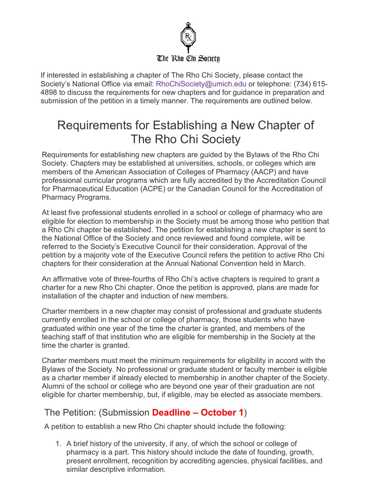

If interested in establishing a chapter of The Rho Chi Society, please contact the Society's National Office via email: [RhoChiSociety@umich.edu](mailto:RhoChiSociety@umich.edu) or telephone: (734) 615- 4898 to discuss the requirements for new chapters and for guidance in preparation and submission of the petition in a timely manner. The requirements are outlined below.

# Requirements for Establishing a New Chapter of The Rho Chi Society

Requirements for establishing new chapters are guided by the Bylaws of the Rho Chi Society. Chapters may be established at universities, schools, or colleges which are members of the American Association of Colleges of Pharmacy (AACP) and have professional curricular programs which are fully accredited by the Accreditation Council for Pharmaceutical Education (ACPE) or the Canadian Council for the Accreditation of Pharmacy Programs.

At least five professional students enrolled in a school or college of pharmacy who are eligible for election to membership in the Society must be among those who petition that a Rho Chi chapter be established. The petition for establishing a new chapter is sent to the National Office of the Society and once reviewed and found complete, will be referred to the Society's Executive Council for their consideration. Approval of the petition by a majority vote of the Executive Council refers the petition to active Rho Chi chapters for their consideration at the Annual National Convention held in March.

An affirmative vote of three-fourths of Rho Chi's active chapters is required to grant a charter for a new Rho Chi chapter. Once the petition is approved, plans are made for installation of the chapter and induction of new members.

Charter members in a new chapter may consist of professional and graduate students currently enrolled in the school or college of pharmacy, those students who have graduated within one year of the time the charter is granted, and members of the teaching staff of that institution who are eligible for membership in the Society at the time the charter is granted.

Charter members must meet the minimum requirements for eligibility in accord with the Bylaws of the Society. No professional or graduate student or faculty member is eligible as a charter member if already elected to membership in another chapter of the Society. Alumni of the school or college who are beyond one year of their graduation are not eligible for charter membership, but, if eligible, may be elected as associate members.

# The Petition: (Submission **Deadline – October 1**)

A petition to establish a new Rho Chi chapter should include the following:

1. A brief history of the university, if any, of which the school or college of pharmacy is a part. This history should include the date of founding, growth, present enrollment, recognition by accrediting agencies, physical facilities, and similar descriptive information.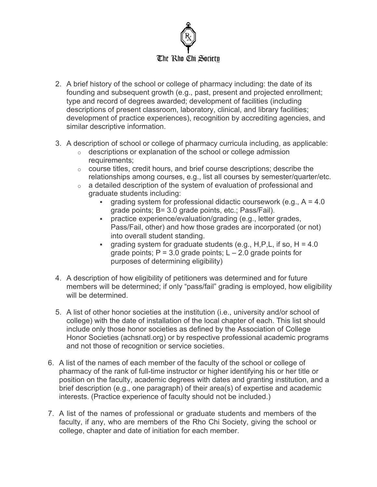

- 2. A brief history of the school or college of pharmacy including: the date of its founding and subsequent growth (e.g., past, present and projected enrollment; type and record of degrees awarded; development of facilities (including descriptions of present classroom, laboratory, clinical, and library facilities; development of practice experiences), recognition by accrediting agencies, and similar descriptive information.
- 3. A description of school or college of pharmacy curricula including, as applicable:
	- $\circ$  descriptions or explanation of the school or college admission requirements;
	- $\circ$  course titles, credit hours, and brief course descriptions; describe the relationships among courses, e.g., list all courses by semester/quarter/etc.
	- $\circ$  a detailed description of the system of evaluation of professional and graduate students including:
		- grading system for professional didactic coursework (e.g.,  $A = 4.0$ ) grade points; B= 3.0 grade points, etc.; Pass/Fail).
		- practice experience/evaluation/grading (e.g., letter grades, Pass/Fail, other) and how those grades are incorporated (or not) into overall student standing.
		- qrading system for graduate students (e.g., H,P,L, if so,  $H = 4.0$ grade points;  $P = 3.0$  grade points;  $L - 2.0$  grade points for purposes of determining eligibility)
- 4. A description of how eligibility of petitioners was determined and for future members will be determined; if only "pass/fail" grading is employed, how eligibility will be determined.
- 5. A list of other honor societies at the institution (i.e., university and/or school of college) with the date of installation of the local chapter of each. This list should include only those honor societies as defined by the Association of College Honor Societies (achsnatl.org) or by respective professional academic programs and not those of recognition or service societies.
- 6. A list of the names of each member of the faculty of the school or college of pharmacy of the rank of full-time instructor or higher identifying his or her title or position on the faculty, academic degrees with dates and granting institution, and a brief description (e.g., one paragraph) of their area(s) of expertise and academic interests. (Practice experience of faculty should not be included.)
- 7. A list of the names of professional or graduate students and members of the faculty, if any, who are members of the Rho Chi Society, giving the school or college, chapter and date of initiation for each member.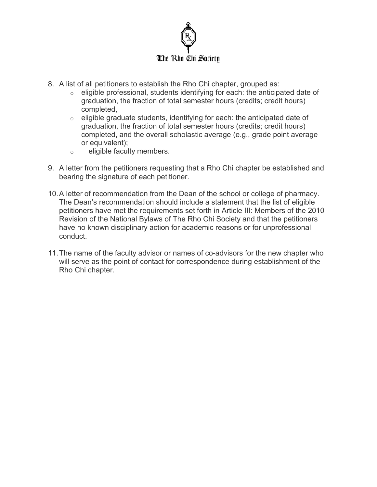

- 8. A list of all petitioners to establish the Rho Chi chapter, grouped as:
	- o eligible professional, students identifying for each: the anticipated date of graduation, the fraction of total semester hours (credits; credit hours) completed,
	- $\circ$  eligible graduate students, identifying for each: the anticipated date of graduation, the fraction of total semester hours (credits; credit hours) completed, and the overall scholastic average (e.g., grade point average or equivalent);
	- o eligible faculty members.
- 9. A letter from the petitioners requesting that a Rho Chi chapter be established and bearing the signature of each petitioner.
- 10.A letter of recommendation from the Dean of the school or college of pharmacy. The Dean's recommendation should include a statement that the list of eligible petitioners have met the requirements set forth in Article III: Members of the 2010 Revision of the National Bylaws of The Rho Chi Society and that the petitioners have no known disciplinary action for academic reasons or for unprofessional conduct.
- 11.The name of the faculty advisor or names of co-advisors for the new chapter who will serve as the point of contact for correspondence during establishment of the Rho Chi chapter.